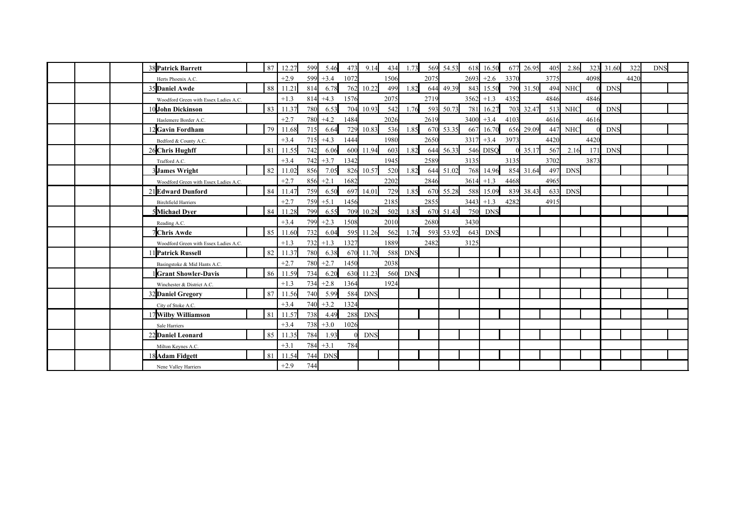| 38 Patrick Barrett                    | 87 | 12.27  | 599 | 5.46        | 473  | 9.14       | 434  | 1.73       |      | 569 54.53 | 618  | 16.50       | 677  | 26.95     | 405  | 2.86       |      | 323 31.60  | 322  | <b>DNS</b> |  |
|---------------------------------------|----|--------|-----|-------------|------|------------|------|------------|------|-----------|------|-------------|------|-----------|------|------------|------|------------|------|------------|--|
| Herts Phoenix A.C.                    |    | $+2.9$ | 599 | $+3.4$      | 1072 |            | 1506 |            | 2075 |           | 2693 | $+2.6$      | 3370 |           | 3775 |            | 4098 |            | 4420 |            |  |
| 35 Daniel Awde                        | 88 | 11.21  | 814 | 6.78        | 762  | 10.22      | 499  | 1.82       |      | 644 49.39 | 843  | 15.50       |      | 790 31.50 | 494  | <b>NHC</b> |      | <b>DNS</b> |      |            |  |
| Woodford Green with Essex Ladies A.C. |    | $+1.3$ | 814 | $+4.3$      | 1576 |            | 2075 |            | 2719 |           | 3562 | $+1.3$      | 4352 |           | 4846 |            | 4846 |            |      |            |  |
| 10 John Dickinson                     | 83 | 11.37  | 780 | 6.53        | 704  | 10.93      | 542  | 1.76       | 593  | 50.73     | 781  | 16.27       |      | 703 32.47 | 513  | <b>NHC</b> |      | <b>DNS</b> |      |            |  |
| Haslemere Border A.C.                 |    | $+2.7$ | 780 | $+4.2$      | 1484 |            | 2026 |            | 2619 |           | 3400 | $+3.4$      | 4103 |           | 4616 |            | 4616 |            |      |            |  |
| 2Gavin Fordham                        | 79 | 11.68  | 715 | 6.64        | 729  | 10.83      | 536  | 1.85       |      | 670 53.35 | 667  | 16.70       | 656  | 29.09     | 447  | <b>NHC</b> |      | <b>DNS</b> |      |            |  |
| Bedford & County A.C.                 |    | $+3.4$ | 715 | $+4.3$      | 1444 |            | 1980 |            | 2650 |           | 3317 | $+3.4$      | 3973 |           | 4420 |            | 4420 |            |      |            |  |
| 26 Chris Hughff                       | 81 | 11.55  | 742 | 6.06        | 600  | 11.94      | 603  | 1.82       |      | 644 56.33 | 546  | <b>DISQ</b> |      | 35.17     | 567  | 2.16       | 171  | <b>DNS</b> |      |            |  |
| Trafford A.C.                         |    | $+3.4$ | 742 | $+3.7$      | 1342 |            | 1945 |            | 2589 |           | 3135 |             | 3135 |           | 3702 |            | 3873 |            |      |            |  |
| <b>3James Wright</b>                  | 82 | 11.02  | 856 | 7.05        | 826  | 10.57      | 520  | 1.82       |      | 644 51.02 | 768  | 14.96       |      | 854 31.64 | 497  | <b>DNS</b> |      |            |      |            |  |
| Woodford Green with Essex Ladies A.C. |    | $+2.7$ |     | $856 + 2.1$ | 1682 |            | 2202 |            | 2846 |           | 3614 | $+1.3$      | 4468 |           | 4965 |            |      |            |      |            |  |
| 21 Edward Dunford                     | 84 | 11.47  | 759 | 6.50        | 697  | 14.01      | 729  | 1.85       |      | 670 55.28 | 588  | 15.09       |      | 839 38.43 | 633  | <b>DNS</b> |      |            |      |            |  |
| <b>Birchfield Harriers</b>            |    | $+2.7$ | 759 | $+5.1$      | 1456 |            | 2185 |            | 2855 |           | 3443 | $+1.3$      | 4282 |           | 4915 |            |      |            |      |            |  |
| 5Michael Dyer                         | 84 | 11.28  | 799 | 6.55        | 709  | 10.28      | 502  | 1.85       |      | 670 51.43 | 750  | <b>DNS</b>  |      |           |      |            |      |            |      |            |  |
| Reading A.C.                          |    | $+3.4$ | 799 | $+2.3$      | 1508 |            | 2010 |            | 2680 |           | 3430 |             |      |           |      |            |      |            |      |            |  |
| Chris Awde                            | 85 | 11.60  | 732 | 6.04        | 595  | 11.26      | 562  | 1.76       | 593  | 53.92     | 643  | <b>DNS</b>  |      |           |      |            |      |            |      |            |  |
| Woodford Green with Essex Ladies A.C. |    | $+1.3$ | 732 | $+1.3$      | 1327 |            | 1889 |            | 2482 |           | 3125 |             |      |           |      |            |      |            |      |            |  |
| 1 Patrick Russell                     | 82 | 11.37  | 780 | 6.38        | 670  | 11.70      | 588  | <b>DNS</b> |      |           |      |             |      |           |      |            |      |            |      |            |  |
| Basingstoke & Mid Hants A.C.          |    | $+2.7$ | 780 | $+2.7$      | 1450 |            | 2038 |            |      |           |      |             |      |           |      |            |      |            |      |            |  |
| <b>Grant Showler-Davis</b>            | 86 | 11.59  | 734 | 6.20        | 630  | 11.23      | 560  | <b>DNS</b> |      |           |      |             |      |           |      |            |      |            |      |            |  |
| Winchester & District A.C.            |    | $+1.3$ | 734 | $+2.8$      | 1364 |            | 1924 |            |      |           |      |             |      |           |      |            |      |            |      |            |  |
| 32 Daniel Gregory                     | 87 | 11.56  | 740 | 5.99        | 584  | <b>DNS</b> |      |            |      |           |      |             |      |           |      |            |      |            |      |            |  |
| City of Stoke A.C.                    |    | $+3.4$ | 740 | $+3.2$      | 1324 |            |      |            |      |           |      |             |      |           |      |            |      |            |      |            |  |
| 17 Wilby Williamson                   | 81 | 11.57  | 738 | 4.49        | 288  | <b>DNS</b> |      |            |      |           |      |             |      |           |      |            |      |            |      |            |  |
| Sale Harriers                         |    | $+3.4$ | 738 | $+3.0$      | 1026 |            |      |            |      |           |      |             |      |           |      |            |      |            |      |            |  |
| 22 Daniel Leonard                     | 85 | 11.35  | 784 | 1.93        |      | <b>DNS</b> |      |            |      |           |      |             |      |           |      |            |      |            |      |            |  |
| Milton Keynes A.C.                    |    | $+3.1$ | 784 | $+3.1$      | 784  |            |      |            |      |           |      |             |      |           |      |            |      |            |      |            |  |
| 18 Adam Fidgett                       | 81 | 11.54  | 744 | <b>DNS</b>  |      |            |      |            |      |           |      |             |      |           |      |            |      |            |      |            |  |
| Nene Valley Harriers                  |    | $+2.9$ | 744 |             |      |            |      |            |      |           |      |             |      |           |      |            |      |            |      |            |  |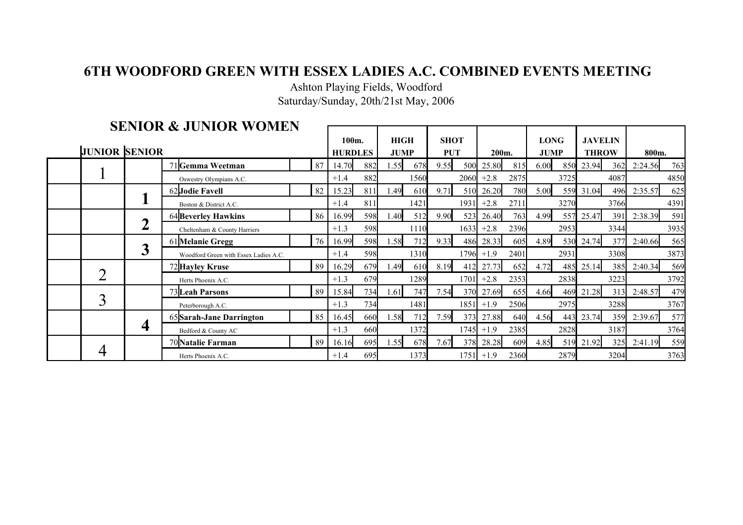## **6TH WOODFORD GREEN WITH ESSEX LADIES A.C. COMBINED EVENTS MEETING**

Saturday/Sunday, 20th/21st May, 2006 Ashton Playing Fields, Woodford

|  |                      |                  | <b>SENIOR &amp; JUNIOR WOMEN</b>      |    |        |                |             |             |             |                 |              |             |             |      |                |      |         |      |
|--|----------------------|------------------|---------------------------------------|----|--------|----------------|-------------|-------------|-------------|-----------------|--------------|-------------|-------------|------|----------------|------|---------|------|
|  |                      |                  |                                       |    | 100m.  |                | <b>HIGH</b> |             | <b>SHOT</b> |                 |              |             | <b>LONG</b> |      | <b>JAVELIN</b> |      |         |      |
|  | <b>JUNIOR SENIOR</b> |                  |                                       |    |        | <b>HURDLES</b> |             | <b>JUMP</b> |             | <b>PUT</b>      |              | 200m.       | <b>JUMP</b> |      | <b>THROW</b>   |      | 800m.   |      |
|  |                      |                  | 71 Gemma Weetman                      | 87 | 14.70  | 882            | 1.55        | 678         | 9.55        | 500             | 25.80        | 815         | 6.00        | 850  | 23.94          | 362  | 2:24.56 | 763  |
|  |                      |                  | Oswestry Olympians A.C.               |    |        | 882            |             | 1560        |             |                 | $2060 + 2.8$ | 2875        |             | 3725 |                | 4087 |         | 4850 |
|  |                      |                  | 62JJodie Favell                       | 82 | 15.23  | 811            | 1.49        | 610         | 9.71        | 51 <sub>0</sub> | 26.20        | 780         | 5.00        |      | 559 31.04      | 496  | 2:35.57 | 625  |
|  |                      |                  | Boston & District A.C.                |    | $+1.4$ | 811            |             | 1421        |             | 1931            | $+2.8$       | 2711        |             | 3270 |                | 3766 |         | 4391 |
|  |                      |                  | 64 Beverley Hawkins                   | 86 | 16.99  | 598            | 1.40        | 512         | 9.90        | 523             | 26.40        | 763I        | 4.99        |      | 557 25.47      | 391  | 2:38.39 | 591  |
|  |                      |                  | Cheltenham & County Harriers          |    | $+1.3$ | 598            |             | 1110        |             | 1633            | $+2.8$       | 2396        |             | 2953 |                | 3344 |         | 3935 |
|  |                      |                  | 61 Melanie Gregg                      | 76 | 16.99  | 598            | 1.58        | 712         | 9.33        |                 | 486 28.33    | 605         | 4.89        |      | 530 24.74      | 377  | 2:40.66 | 565  |
|  |                      | 3                | Woodford Green with Essex Ladies A.C. |    | $+1.4$ | 598            |             | 1310        |             | 1796            | $+1.9$       | 2401        |             | 2931 |                | 3308 |         | 3873 |
|  |                      |                  | 72 Hayley Kruse                       | 89 | 16.29  | 679            | 1.49        | 610         | 8.19        | 412             | 27.73        | 652         | 4.72        | 485  | 25.14          | 385  | 2:40.34 | 569  |
|  |                      |                  | Herts Phoenix A.C.                    |    | $+1.3$ | 679            |             | 1289        |             | 1701 <b>1</b>   | $+2.8$       | 2353        |             | 2838 |                | 3223 |         | 3792 |
|  |                      |                  | 73 Leah Parsons                       | 89 | 15.84  | 734            | 1.61        | 747         | 7.54        | 370             | 27.69        | 655         | 4.66        |      | 469 21.28      | 313  | 2:48.57 | 479  |
|  |                      |                  | Peterborough A.C.                     |    | $+1.3$ | 734            |             | 1481        |             |                 | $1851 + 1.9$ | 2506        |             | 2975 |                | 3288 |         | 3767 |
|  |                      |                  | 65 Sarah-Jane Darrington              | 85 | 16.45  | 660            | 1.58        | 712         | 7.59        | 373             | 27.88        | <b>640</b>  | 4.56        | 443  | 23.74          | 359  | 2:39.67 | 577  |
|  |                      | $\boldsymbol{4}$ | Bedford & County AC                   |    | $+1.3$ | 660            |             | 1372        |             | 1745            | $+1.9$       | 2385        |             | 2828 |                | 3187 |         | 3764 |
|  |                      |                  | 70 Natalie Farman                     | 89 | 16.16  | 695            | 1.55        | 678         | 7.67        |                 | 378 28.28    | 609         | 4.85        |      | 519 21.92      | 325  | 2:41.19 | 559  |
|  |                      |                  | Herts Phoenix A.C.                    |    | $+1.4$ | 695            |             | 1373        |             |                 | $1751 + 1.9$ | <b>2360</b> |             | 2879 |                | 3204 |         | 3763 |